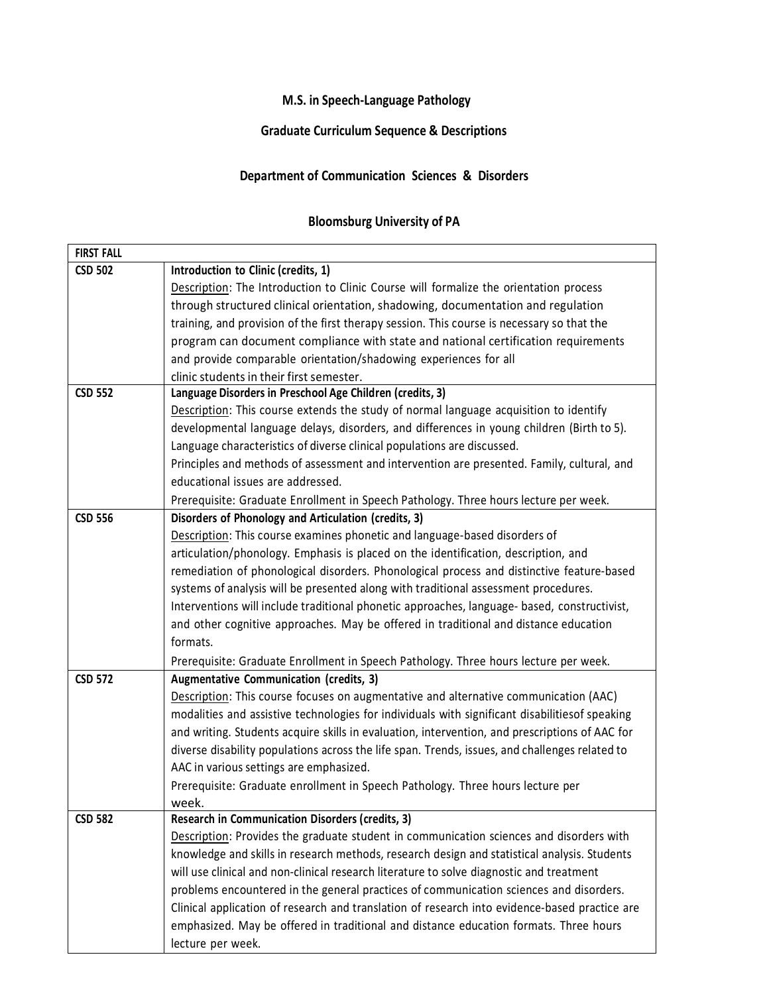## **M.S. in Speech-Language Pathology**

## **Graduate Curriculum Sequence & Descriptions**

## **Department of Communication Sciences & Disorders**

## **Bloomsburg University of PA**

| <b>FIRST FALL</b> |                                                                                                |
|-------------------|------------------------------------------------------------------------------------------------|
| <b>CSD 502</b>    | Introduction to Clinic (credits, 1)                                                            |
|                   | Description: The Introduction to Clinic Course will formalize the orientation process          |
|                   | through structured clinical orientation, shadowing, documentation and regulation               |
|                   | training, and provision of the first therapy session. This course is necessary so that the     |
|                   | program can document compliance with state and national certification requirements             |
|                   | and provide comparable orientation/shadowing experiences for all                               |
|                   | clinic students in their first semester.                                                       |
| <b>CSD 552</b>    | Language Disorders in Preschool Age Children (credits, 3)                                      |
|                   | Description: This course extends the study of normal language acquisition to identify          |
|                   | developmental language delays, disorders, and differences in young children (Birth to 5).      |
|                   | Language characteristics of diverse clinical populations are discussed.                        |
|                   | Principles and methods of assessment and intervention are presented. Family, cultural, and     |
|                   | educational issues are addressed.                                                              |
|                   | Prerequisite: Graduate Enrollment in Speech Pathology. Three hours lecture per week.           |
| <b>CSD 556</b>    | Disorders of Phonology and Articulation (credits, 3)                                           |
|                   | Description: This course examines phonetic and language-based disorders of                     |
|                   | articulation/phonology. Emphasis is placed on the identification, description, and             |
|                   | remediation of phonological disorders. Phonological process and distinctive feature-based      |
|                   | systems of analysis will be presented along with traditional assessment procedures.            |
|                   | Interventions will include traditional phonetic approaches, language- based, constructivist,   |
|                   | and other cognitive approaches. May be offered in traditional and distance education           |
|                   | formats.                                                                                       |
|                   | Prerequisite: Graduate Enrollment in Speech Pathology. Three hours lecture per week.           |
| <b>CSD 572</b>    | Augmentative Communication (credits, 3)                                                        |
|                   | Description: This course focuses on augmentative and alternative communication (AAC)           |
|                   | modalities and assistive technologies for individuals with significant disabilitiesof speaking |
|                   | and writing. Students acquire skills in evaluation, intervention, and prescriptions of AAC for |
|                   | diverse disability populations across the life span. Trends, issues, and challenges related to |
|                   | AAC in various settings are emphasized.                                                        |
|                   | Prerequisite: Graduate enrollment in Speech Pathology. Three hours lecture per                 |
|                   | week.                                                                                          |
| <b>CSD 582</b>    | <b>Research in Communication Disorders (credits, 3)</b>                                        |
|                   | Description: Provides the graduate student in communication sciences and disorders with        |
|                   | knowledge and skills in research methods, research design and statistical analysis. Students   |
|                   | will use clinical and non-clinical research literature to solve diagnostic and treatment       |
|                   | problems encountered in the general practices of communication sciences and disorders.         |
|                   | Clinical application of research and translation of research into evidence-based practice are  |
|                   | emphasized. May be offered in traditional and distance education formats. Three hours          |
|                   | lecture per week.                                                                              |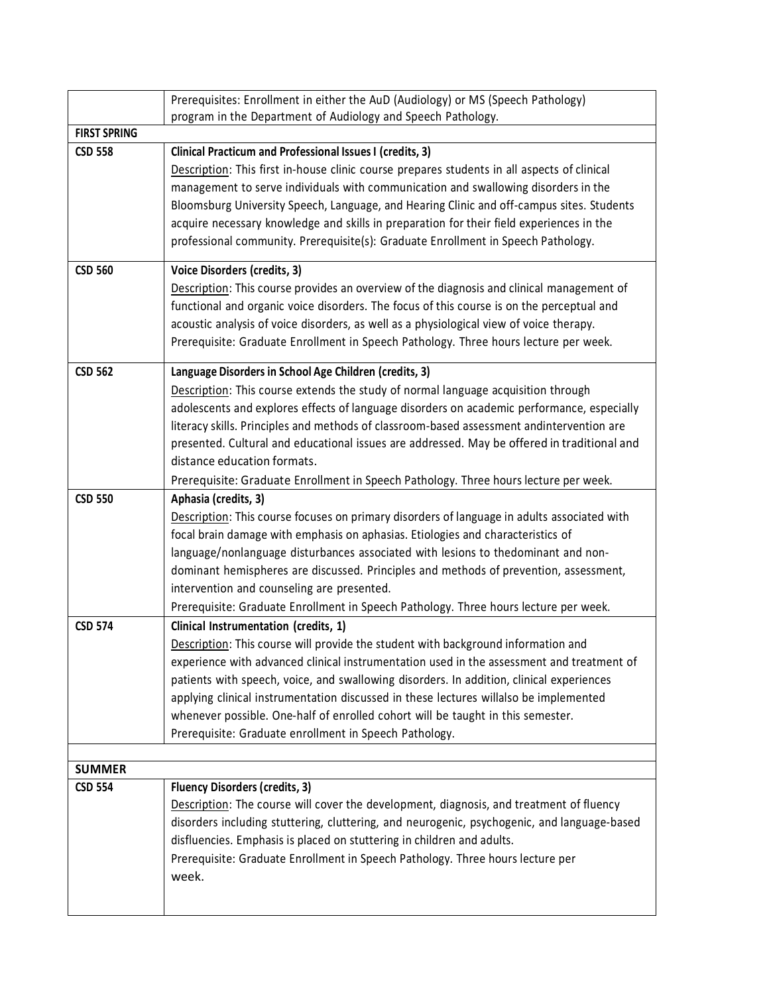|                                 | Prerequisites: Enrollment in either the AuD (Audiology) or MS (Speech Pathology)            |
|---------------------------------|---------------------------------------------------------------------------------------------|
|                                 | program in the Department of Audiology and Speech Pathology.                                |
| <b>FIRST SPRING</b>             |                                                                                             |
| <b>CSD 558</b>                  | Clinical Practicum and Professional Issues I (credits, 3)                                   |
|                                 | Description: This first in-house clinic course prepares students in all aspects of clinical |
|                                 | management to serve individuals with communication and swallowing disorders in the          |
|                                 | Bloomsburg University Speech, Language, and Hearing Clinic and off-campus sites. Students   |
|                                 | acquire necessary knowledge and skills in preparation for their field experiences in the    |
|                                 | professional community. Prerequisite(s): Graduate Enrollment in Speech Pathology.           |
| <b>CSD 560</b>                  | Voice Disorders (credits, 3)                                                                |
|                                 | Description: This course provides an overview of the diagnosis and clinical management of   |
|                                 | functional and organic voice disorders. The focus of this course is on the perceptual and   |
|                                 | acoustic analysis of voice disorders, as well as a physiological view of voice therapy.     |
|                                 | Prerequisite: Graduate Enrollment in Speech Pathology. Three hours lecture per week.        |
| <b>CSD 562</b>                  | Language Disorders in School Age Children (credits, 3)                                      |
|                                 | Description: This course extends the study of normal language acquisition through           |
|                                 | adolescents and explores effects of language disorders on academic performance, especially  |
|                                 | literacy skills. Principles and methods of classroom-based assessment andintervention are   |
|                                 | presented. Cultural and educational issues are addressed. May be offered in traditional and |
|                                 | distance education formats.                                                                 |
|                                 | Prerequisite: Graduate Enrollment in Speech Pathology. Three hours lecture per week.        |
| <b>CSD 550</b>                  | Aphasia (credits, 3)                                                                        |
|                                 | Description: This course focuses on primary disorders of language in adults associated with |
|                                 | focal brain damage with emphasis on aphasias. Etiologies and characteristics of             |
|                                 | language/nonlanguage disturbances associated with lesions to thedominant and non-           |
|                                 | dominant hemispheres are discussed. Principles and methods of prevention, assessment,       |
|                                 | intervention and counseling are presented.                                                  |
|                                 | Prerequisite: Graduate Enrollment in Speech Pathology. Three hours lecture per week.        |
| <b>CSD 574</b>                  | Clinical Instrumentation (credits, 1)                                                       |
|                                 | Description: This course will provide the student with background information and           |
|                                 | experience with advanced clinical instrumentation used in the assessment and treatment of   |
|                                 | patients with speech, voice, and swallowing disorders. In addition, clinical experiences    |
|                                 | applying clinical instrumentation discussed in these lectures willalso be implemented       |
|                                 | whenever possible. One-half of enrolled cohort will be taught in this semester.             |
|                                 | Prerequisite: Graduate enrollment in Speech Pathology.                                      |
|                                 |                                                                                             |
| <b>SUMMER</b><br><b>CSD 554</b> | <b>Fluency Disorders (credits, 3)</b>                                                       |
|                                 | Description: The course will cover the development, diagnosis, and treatment of fluency     |
|                                 | disorders including stuttering, cluttering, and neurogenic, psychogenic, and language-based |
|                                 | disfluencies. Emphasis is placed on stuttering in children and adults.                      |
|                                 |                                                                                             |
|                                 | Prerequisite: Graduate Enrollment in Speech Pathology. Three hours lecture per<br>week.     |
|                                 |                                                                                             |
|                                 |                                                                                             |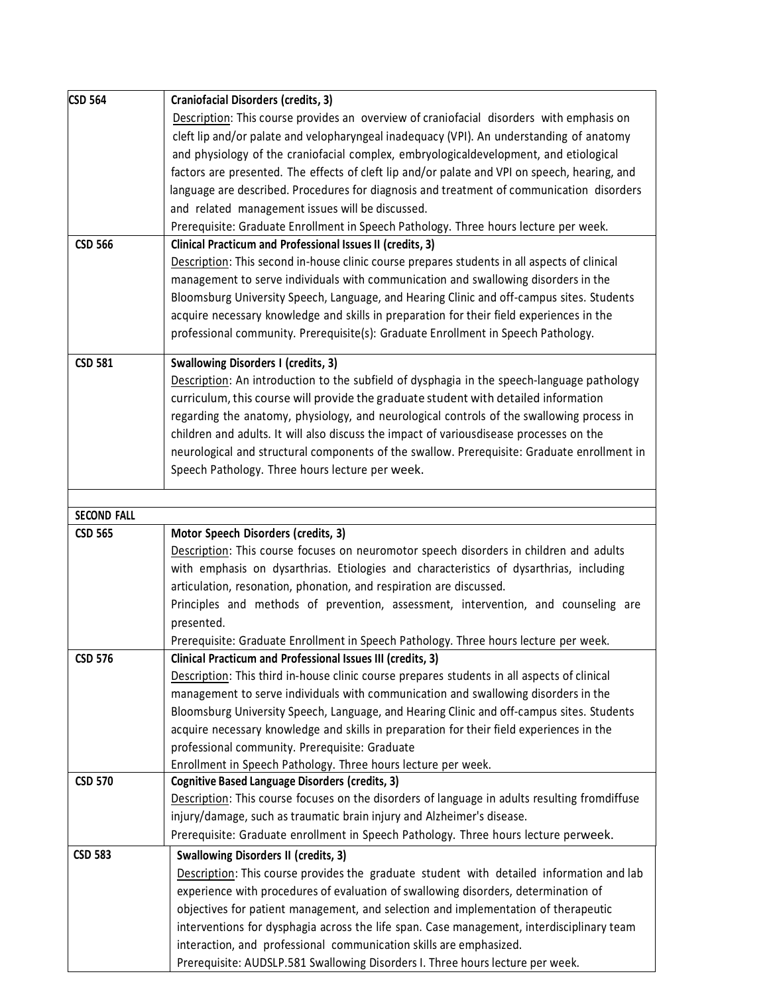| <b>CSD 564</b>     | <b>Craniofacial Disorders (credits, 3)</b>                                                    |
|--------------------|-----------------------------------------------------------------------------------------------|
|                    | Description: This course provides an overview of craniofacial disorders with emphasis on      |
|                    | cleft lip and/or palate and velopharyngeal inadequacy (VPI). An understanding of anatomy      |
|                    | and physiology of the craniofacial complex, embryologicaldevelopment, and etiological         |
|                    | factors are presented. The effects of cleft lip and/or palate and VPI on speech, hearing, and |
|                    | language are described. Procedures for diagnosis and treatment of communication disorders     |
|                    | and related management issues will be discussed.                                              |
|                    | Prerequisite: Graduate Enrollment in Speech Pathology. Three hours lecture per week.          |
| <b>CSD 566</b>     | Clinical Practicum and Professional Issues II (credits, 3)                                    |
|                    | Description: This second in-house clinic course prepares students in all aspects of clinical  |
|                    | management to serve individuals with communication and swallowing disorders in the            |
|                    | Bloomsburg University Speech, Language, and Hearing Clinic and off-campus sites. Students     |
|                    | acquire necessary knowledge and skills in preparation for their field experiences in the      |
|                    | professional community. Prerequisite(s): Graduate Enrollment in Speech Pathology.             |
|                    |                                                                                               |
| <b>CSD 581</b>     | <b>Swallowing Disorders I (credits, 3)</b>                                                    |
|                    | Description: An introduction to the subfield of dysphagia in the speech-language pathology    |
|                    | curriculum, this course will provide the graduate student with detailed information           |
|                    | regarding the anatomy, physiology, and neurological controls of the swallowing process in     |
|                    | children and adults. It will also discuss the impact of variousdisease processes on the       |
|                    | neurological and structural components of the swallow. Prerequisite: Graduate enrollment in   |
|                    | Speech Pathology. Three hours lecture per week.                                               |
|                    |                                                                                               |
| <b>SECOND FALL</b> |                                                                                               |
| <b>CSD 565</b>     | Motor Speech Disorders (credits, 3)                                                           |
|                    | Description: This course focuses on neuromotor speech disorders in children and adults        |
|                    | with emphasis on dysarthrias. Etiologies and characteristics of dysarthrias, including        |
|                    | articulation, resonation, phonation, and respiration are discussed.                           |
|                    | Principles and methods of prevention, assessment, intervention, and counseling are            |
|                    | presented.                                                                                    |
|                    | Prerequisite: Graduate Enrollment in Speech Pathology. Three hours lecture per week.          |
| CSD 576            | Clinical Practicum and Professional Issues III (credits, 3)                                   |
|                    | Description: This third in-house clinic course prepares students in all aspects of clinical   |
|                    | management to serve individuals with communication and swallowing disorders in the            |
|                    | Bloomsburg University Speech, Language, and Hearing Clinic and off-campus sites. Students     |
|                    | acquire necessary knowledge and skills in preparation for their field experiences in the      |
|                    | professional community. Prerequisite: Graduate                                                |
|                    | Enrollment in Speech Pathology. Three hours lecture per week.                                 |
| <b>CSD 570</b>     | Cognitive Based Language Disorders (credits, 3)                                               |
|                    | Description: This course focuses on the disorders of language in adults resulting fromdiffuse |
|                    | injury/damage, such as traumatic brain injury and Alzheimer's disease.                        |
|                    | Prerequisite: Graduate enrollment in Speech Pathology. Three hours lecture perweek.           |
| <b>CSD 583</b>     | <b>Swallowing Disorders II (credits, 3)</b>                                                   |
|                    | Description: This course provides the graduate student with detailed information and lab      |
|                    | experience with procedures of evaluation of swallowing disorders, determination of            |
|                    | objectives for patient management, and selection and implementation of therapeutic            |
|                    | interventions for dysphagia across the life span. Case management, interdisciplinary team     |
|                    | interaction, and professional communication skills are emphasized.                            |
|                    | Prerequisite: AUDSLP.581 Swallowing Disorders I. Three hours lecture per week.                |